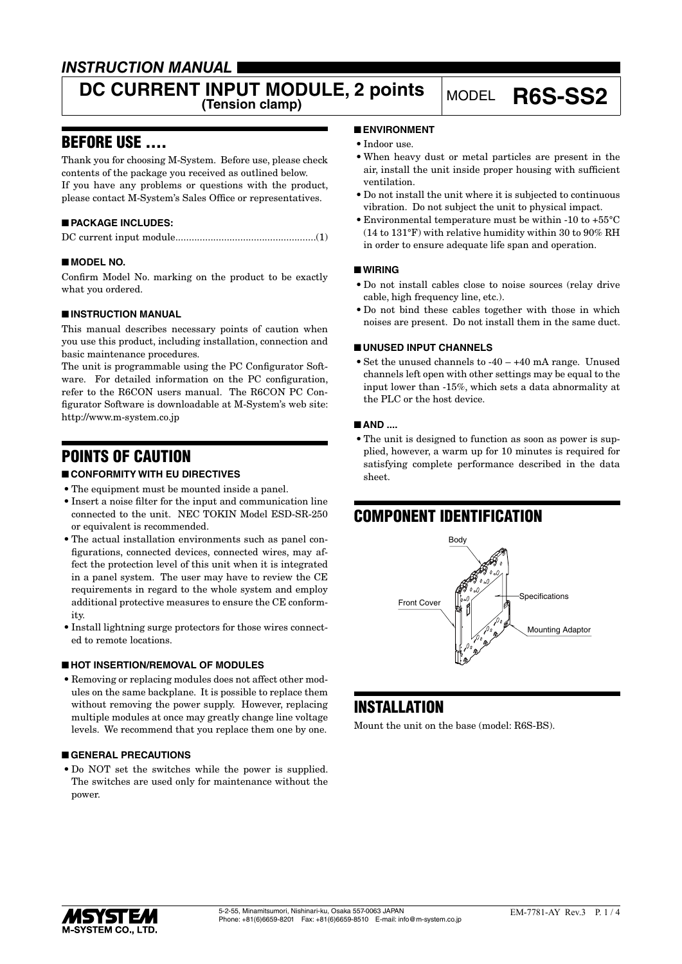### *INSTRUCTION MANUAL*

# **DC CURRENT INPUT MODULE, 2 points** MODEL **R6S-SS2**

### BEFORE USE ....

Thank you for choosing M-System. Before use, please check contents of the package you received as outlined below. If you have any problems or questions with the product, please contact M-System's Sales Office or representatives.

### ■ **PACKAGE INCLUDES:**

### ■ **MODEL NO.**

Confirm Model No. marking on the product to be exactly what you ordered.

### ■ **INSTRUCTION MANUAL**

This manual describes necessary points of caution when you use this product, including installation, connection and basic maintenance procedures.

The unit is programmable using the PC Configurator Software. For detailed information on the PC configuration, refer to the R6CON users manual. The R6CON PC Configurator Software is downloadable at M-System's web site: http://www.m-system.co.jp

### POINTS OF CAUTION

### ■ **CONFORMITY WITH EU DIRECTIVES**

- The equipment must be mounted inside a panel.
- • Insert a noise filter for the input and communication line connected to the unit. NEC TOKIN Model ESD-SR-250 or equivalent is recommended.
- The actual installation environments such as panel configurations, connected devices, connected wires, may affect the protection level of this unit when it is integrated in a panel system. The user may have to review the CE requirements in regard to the whole system and employ additional protective measures to ensure the CE conformity.
- Install lightning surge protectors for those wires connected to remote locations.

### ■ **HOT INSERTION/REMOVAL OF MODULES**

• Removing or replacing modules does not affect other modules on the same backplane. It is possible to replace them without removing the power supply. However, replacing multiple modules at once may greatly change line voltage levels. We recommend that you replace them one by one.

### ■ **GENERAL PRECAUTIONS**

• Do NOT set the switches while the power is supplied. The switches are used only for maintenance without the power.

### ■ **ENVIRONMENT**

- Indoor use.
- • When heavy dust or metal particles are present in the air, install the unit inside proper housing with sufficient ventilation.
- • Do not install the unit where it is subjected to continuous vibration. Do not subject the unit to physical impact.
- • Environmental temperature must be within -10 to +55°C (14 to 131°F) with relative humidity within 30 to 90% RH in order to ensure adequate life span and operation.

### ■ **WIRING**

- • Do not install cables close to noise sources (relay drive cable, high frequency line, etc.).
- Do not bind these cables together with those in which noises are present. Do not install them in the same duct.

### ■ **UNUSED INPUT CHANNELS**

• Set the unused channels to  $-40 - +40$  mA range. Unused channels left open with other settings may be equal to the input lower than -15%, which sets a data abnormality at the PLC or the host device.

#### ■ **AND ....**

• The unit is designed to function as soon as power is supplied, however, a warm up for 10 minutes is required for satisfying complete performance described in the data sheet.

## COMPONENT IDENTIFICATION



### INSTALLATION

Mount the unit on the base (model: R6S-BS).

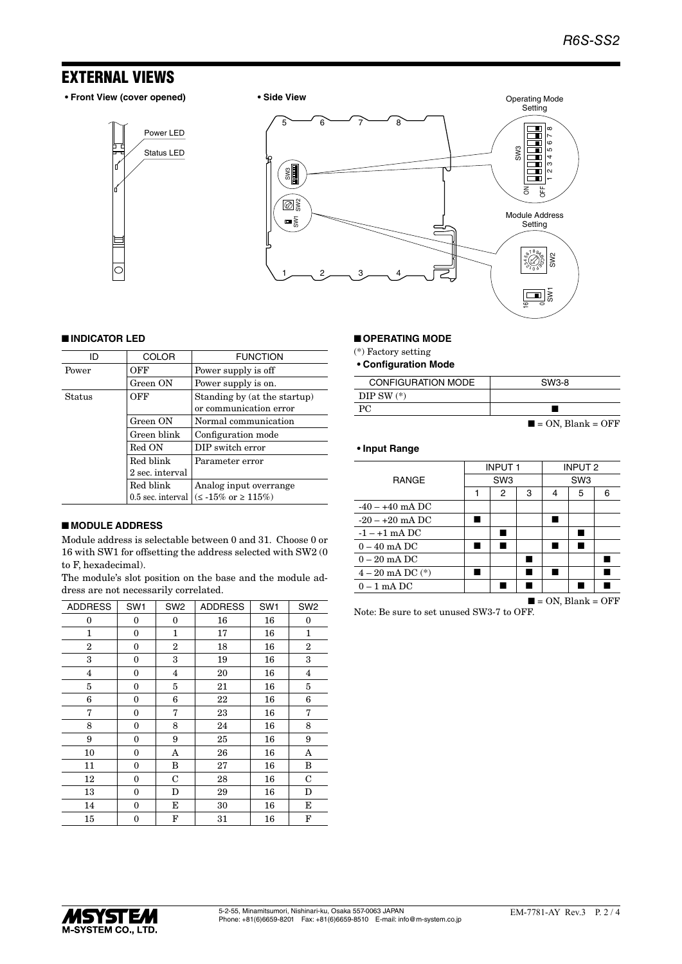### EXTERNAL VIEWS

**• Front View (cover opened) • Side View**







#### ■ **INDICATOR LED**

| ID     | <b>COLOR</b>      | <b>FUNCTION</b>                                        |
|--------|-------------------|--------------------------------------------------------|
| Power  | OFF               | Power supply is off                                    |
|        | Green ON          | Power supply is on.                                    |
| Status | OFF               | Standing by (at the startup)<br>or communication error |
|        | Green ON          | Normal communication                                   |
|        | Green blink       | Configuration mode                                     |
|        | Red ON            | DIP switch error                                       |
|        | Red blink         | Parameter error                                        |
|        | 2 sec. interval   |                                                        |
|        | Red blink         | Analog input overrange                                 |
|        | 0.5 sec. interval | $(< 15\% \text{ or } \geq 115\%)$                      |

### ■ **MODULE ADDRESS**

Module address is selectable between 0 and 31. Choose 0 or 16 with SW1 for offsetting the address selected with SW2 (0 to F, hexadecimal).

The module's slot position on the base and the module address are not necessarily correlated.

| <b>ADDRESS</b>          | SW <sub>1</sub> | SW <sub>2</sub>         | <b>ADDRESS</b> | SW <sub>1</sub> | SW <sub>2</sub>         |
|-------------------------|-----------------|-------------------------|----------------|-----------------|-------------------------|
| 0                       | 0               | $\Omega$                | 16             | 16              | $\Omega$                |
| 1                       | 0               | 1                       | 17             | 16              | $\mathbf{1}$            |
| $\overline{2}$          | 0               | $\overline{2}$          | 18             | 16              | $\overline{2}$          |
| 3                       | 0               | 3                       | 19             | 16              | 3                       |
| $\overline{\mathbf{4}}$ | 0               | $\overline{\mathbf{4}}$ | 20             | 16              | $\overline{\mathbf{4}}$ |
| 5                       | 0               | 5                       | 21             | 16              | 5                       |
| 6                       | 0               | 6                       | 22             | 16              | 6                       |
| 7                       | 0               | 7                       | 23             | 16              | 7                       |
| 8                       | $\mathbf{0}$    | 8                       | 24             | 16              | 8                       |
| 9                       | 0               | 9                       | 25             | 16              | 9                       |
| 10                      | 0               | A                       | 26             | 16              | A                       |
| 11                      | 0               | B                       | 27             | 16              | B                       |
| 12                      | 0               | $\mathbf C$             | 28             | 16              | $\mathbf C$             |
| 13                      | 0               | D                       | 29             | 16              | D                       |
| 14                      | 0               | Е                       | 30             | 16              | Е                       |
| 15                      | 0               | F                       | 31             | 16              | F                       |

### ■ **OPERATING MODE**

(\*) Factory setting

**• Configuration Mode**

| <b>CONFIGURATION MODE</b> | SW3-8                            |
|---------------------------|----------------------------------|
| DIP SW $(*)$              |                                  |
| PC.                       |                                  |
|                           | $\blacksquare$ = ON, Blank = OFF |

#### **• Input Range**

|                                  | <b>INPUT1</b>   |   | <b>INPUT 2</b>  |   |   |   |
|----------------------------------|-----------------|---|-----------------|---|---|---|
| <b>RANGE</b>                     | SW <sub>3</sub> |   | SW <sub>3</sub> |   |   |   |
|                                  | 1               | 2 | 3               | 4 | 5 | 6 |
| $-40 - +40$ mA DC                |                 |   |                 |   |   |   |
| $-20 - +20$ mA DC                |                 |   |                 |   |   |   |
| $-1 - +1$ mA DC                  |                 |   |                 |   |   |   |
| $0 - 40$ mA DC                   |                 |   |                 |   |   |   |
| $0-20$ mA DC                     |                 |   |                 |   |   |   |
| $4 - 20$ mA DC $(*)$             |                 |   |                 |   |   |   |
| $0 - 1$ mA DC                    |                 |   |                 |   |   |   |
| $\blacksquare$ = ON, Blank = OFF |                 |   |                 |   |   |   |

Note: Be sure to set unused SW3-7 to OFF.

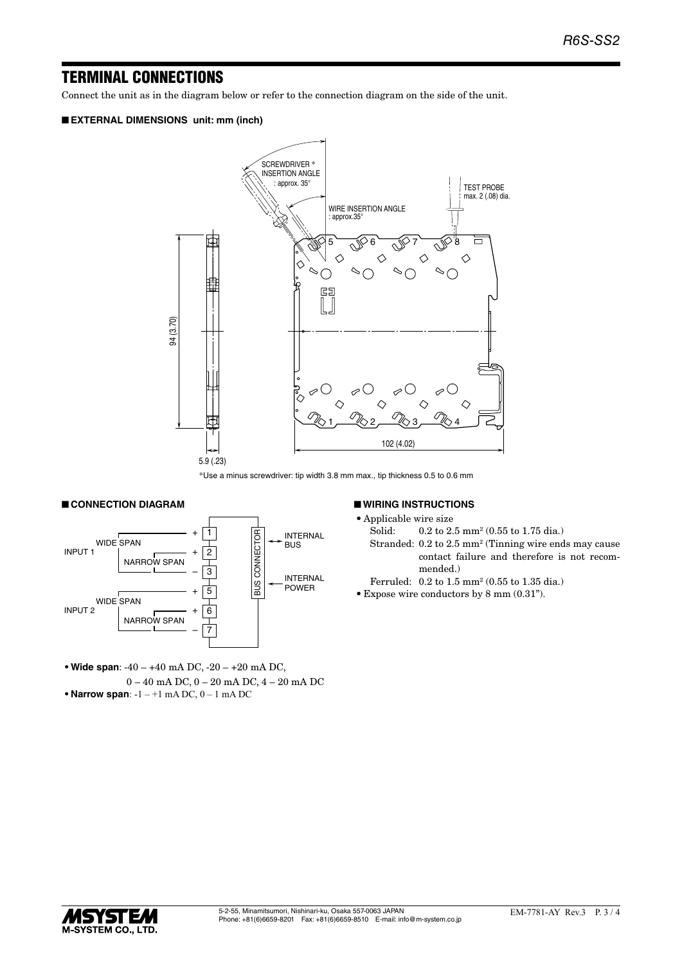### TERMINAL CONNECTIONS

Connect the unit as in the diagram below or refer to the connection diagram on the side of the unit.

#### ■ **EXTERNAL DIMENSIONS unit: mm (inch)**



\*Use a minus screwdriver: tip width 3.8 mm max., tip thickness 0.5 to 0.6 mm

#### ■ **CONNECTION DIAGRAM**



**• Wide span**: -40 – +40 mA DC, -20 – +20 mA DC, 0 – 40 mA DC, 0 – 20 mA DC, 4 – 20 mA DC **• Narrow span**: -1 – +1 mA DC, 0 – 1 mA DC

#### ■ **WIRING INSTRUCTIONS**

- • Applicable wire size
- Solid: 0.2 to 2.5 mm<sup>2</sup> (0.55 to 1.75 dia.)
- Stranded: 0.2 to 2.5 mm<sup>2</sup> (Tinning wire ends may cause contact failure and therefore is not recommended.)
- Ferruled: 0.2 to 1.5 mm<sup>2</sup> (0.55 to 1.35 dia.)
- • Expose wire conductors by 8 mm (0.31").